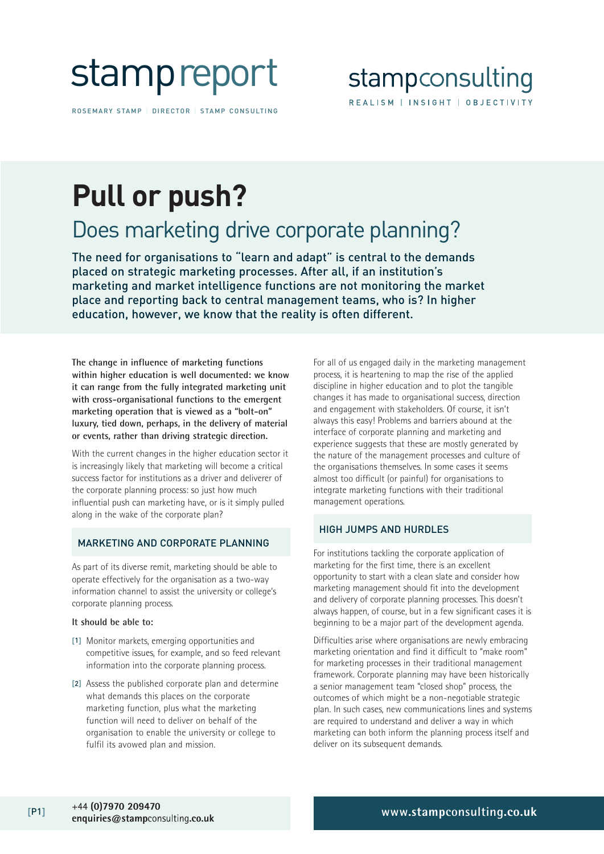# stampreport

ROSEMARY STAMP | DIRECTOR | STAMP CONSULTING

### stampconsulting REALISM | INSIGHT | OBJECTIVITY

## **Pull or push?**

### Does marketing drive corporate planning?

The need for organisations to "learn and adapt" is central to the demands placed on strategic marketing processes. After all, if an institution's marketing and market intelligence functions are not monitoring the market place and reporting back to central management teams, who is? In higher education, however, we know that the reality is often different.

**The change in influence of marketing functions within higher education is well documented: we know it can range from the fully integrated marketing unit with cross-organisational functions to the emergent marketing operation that is viewed as a "bolt-on" luxury, tied down, perhaps, in the delivery of material or events, rather than driving strategic direction.**

With the current changes in the higher education sector it is increasingly likely that marketing will become a critical success factor for institutions as a driver and deliverer of the corporate planning process: so just how much influential push can marketing have, or is it simply pulled along in the wake of the corporate plan?

#### MARKETING AND CORPORATE PLANNING

As part of its diverse remit, marketing should be able to operate effectively for the organisation as a two-way information channel to assist the university or college's corporate planning process.

#### **It should be able to:**

- [1] Monitor markets, emerging opportunities and competitive issues, for example, and so feed relevant information into the corporate planning process.
- [2] Assess the published corporate plan and determine what demands this places on the corporate marketing function, plus what the marketing function will need to deliver on behalf of the organisation to enable the university or college to fulfil its avowed plan and mission.

For all of us engaged daily in the marketing management process, it is heartening to map the rise of the applied discipline in higher education and to plot the tangible changes it has made to organisational success, direction and engagement with stakeholders. Of course, it isn't always this easy! Problems and barriers abound at the interface of corporate planning and marketing and experience suggests that these are mostly generated by the nature of the management processes and culture of the organisations themselves. In some cases it seems almost too difficult (or painful) for organisations to integrate marketing functions with their traditional management operations.

#### HIGH JUMPS AND HURDLES

For institutions tackling the corporate application of marketing for the first time, there is an excellent opportunity to start with a clean slate and consider how marketing management should fit into the development and delivery of corporate planning processes. This doesn't always happen, of course, but in a few significant cases it is beginning to be a major part of the development agenda.

Difficulties arise where organisations are newly embracing marketing orientation and find it difficult to "make room" for marketing processes in their traditional management framework. Corporate planning may have been historically a senior management team "closed shop" process, the outcomes of which might be a non-negotiable strategic plan. In such cases, new communications lines and systems are required to understand and deliver a way in which marketing can both inform the planning process itself and deliver on its subsequent demands.